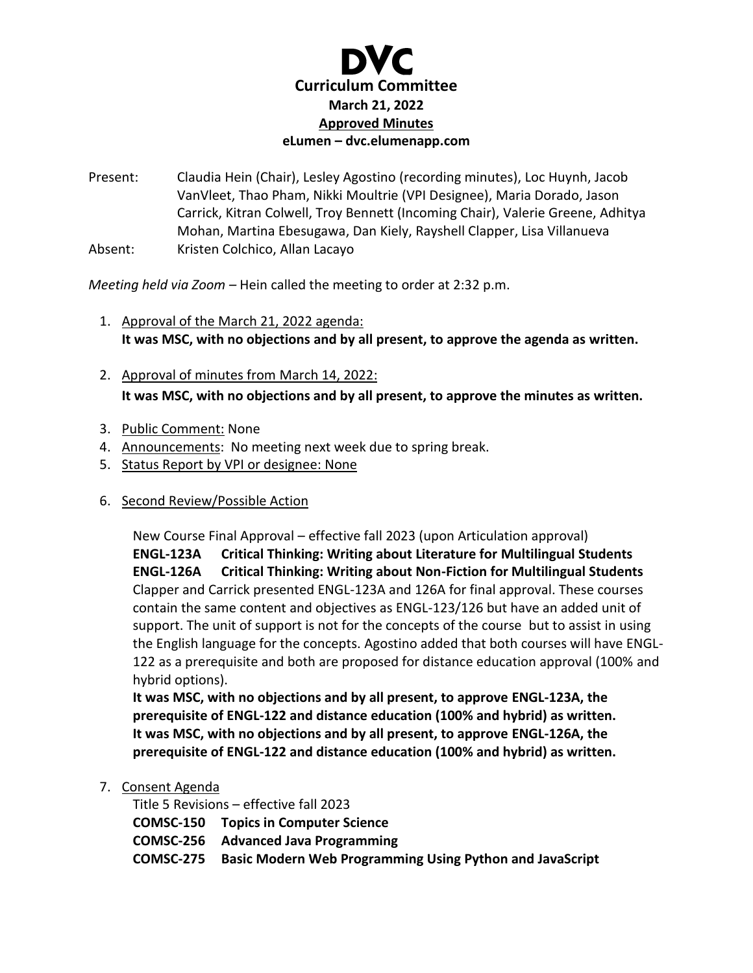

Present: Claudia Hein (Chair), Lesley Agostino (recording minutes), Loc Huynh, Jacob VanVleet, Thao Pham, Nikki Moultrie (VPI Designee), Maria Dorado, Jason Carrick, Kitran Colwell, Troy Bennett (Incoming Chair), Valerie Greene, Adhitya Mohan, Martina Ebesugawa, Dan Kiely, Rayshell Clapper, Lisa Villanueva Absent: Kristen Colchico, Allan Lacayo

*Meeting held via Zoom –* Hein called the meeting to order at 2:32 p.m.

- 1. Approval of the March 21, 2022 agenda: **It was MSC, with no objections and by all present, to approve the agenda as written.**
- 2. Approval of minutes from March 14, 2022: **It was MSC, with no objections and by all present, to approve the minutes as written.**
- 3. Public Comment: None
- 4. Announcements: No meeting next week due to spring break.
- 5. Status Report by VPI or designee: None
- 6. Second Review/Possible Action

New Course Final Approval – effective fall 2023 (upon Articulation approval) **ENGL-123A Critical Thinking: Writing about Literature for Multilingual Students ENGL-126A Critical Thinking: Writing about Non-Fiction for Multilingual Students** Clapper and Carrick presented ENGL-123A and 126A for final approval. These courses contain the same content and objectives as ENGL-123/126 but have an added unit of support. The unit of support is not for the concepts of the course but to assist in using the English language for the concepts. Agostino added that both courses will have ENGL-122 as a prerequisite and both are proposed for distance education approval (100% and hybrid options).

**It was MSC, with no objections and by all present, to approve ENGL-123A, the prerequisite of ENGL-122 and distance education (100% and hybrid) as written. It was MSC, with no objections and by all present, to approve ENGL-126A, the prerequisite of ENGL-122 and distance education (100% and hybrid) as written.**

7. Consent Agenda

Title 5 Revisions – effective fall 2023 **COMSC-150 Topics in Computer Science COMSC-256 Advanced Java Programming COMSC-275 Basic Modern Web Programming Using Python and JavaScript**